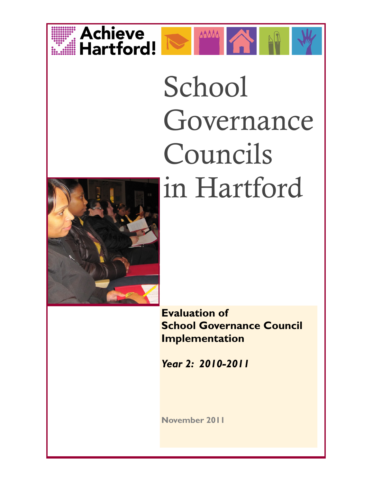



# School Governance Councils in Hartford



**Evaluation of School Governance Council Implementation** 

*Year 2: 2010-2011*

**November 2011**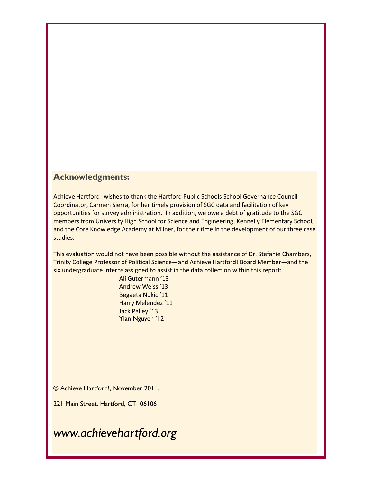## **Acknowledgments:**

Achieve Hartford! wishes to thank the Hartford Public Schools School Governance Council Coordinator, Carmen Sierra, for her timely provision of SGC data and facilitation of key opportunities for survey administration. In addition, we owe a debt of gratitude to the SGC members from University High School for Science and Engineering, Kennelly Elementary School, and the Core Knowledge Academy at Milner, for their time in the development of our three case studies.

This evaluation would not have been possible without the assistance of Dr. Stefanie Chambers, Trinity College Professor of Political Science—and Achieve Hartford! Board Member—and the six undergraduate interns assigned to assist in the data collection within this report:

> Ali Gutermann '13 Andrew Weiss '13 Begaeta Nukic '11 Harry Melendez '11 Jack Palley '13 Ylan Nguyen '12

© Achieve Hartford!, November 2011.

221 Main Street, Hartford, CT 06106

*www.achievehartford.org*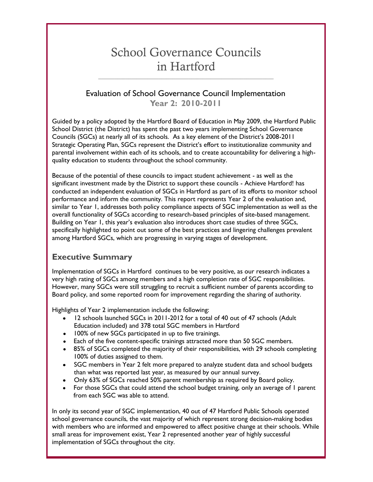## School Governance Councils in Hartford

**\_\_\_\_\_\_\_\_\_\_\_\_\_\_\_\_\_\_\_\_\_\_\_\_\_\_\_\_\_\_\_\_\_\_\_\_\_\_\_\_\_\_\_\_\_\_\_\_\_\_\_\_\_\_\_\_\_\_\_\_\_\_\_\_**

## Evaluation of School Governance Council Implementation **Year 2: 2010-2011**

Guided by a policy adopted by the Hartford Board of Education in May 2009, the Hartford Public School District (the District) has spent the past two years implementing School Governance Councils (SGCs) at nearly all of its schools. As a key element of the District's 2008-2011 Strategic Operating Plan, SGCs represent the District's effort to institutionalize community and parental involvement within each of its schools, and to create accountability for delivering a highquality education to students throughout the school community.

Because of the potential of these councils to impact student achievement - as well as the significant investment made by the District to support these councils - Achieve Hartford! has conducted an independent evaluation of SGCs in Hartford as part of its efforts to monitor school performance and inform the community. This report represents Year 2 of the evaluation and, similar to Year 1, addresses both policy compliance aspects of SGC implementation as well as the overall functionality of SGCs according to research-based principles of site-based management. Building on Year 1, this year's evaluation also introduces short case studies of three SGCs, specifically highlighted to point out some of the best practices and lingering challenges prevalent among Hartford SGCs, which are progressing in varying stages of development.

## **Executive Summary**

Implementation of SGCs in Hartford continues to be very positive, as our research indicates a very high rating of SGCs among members and a high completion rate of SGC responsibilities. However, many SGCs were still struggling to recruit a sufficient number of parents according to Board policy, and some reported room for improvement regarding the sharing of authority.

Highlights of Year 2 implementation include the following:

- 12 schools launched SGCs in 2011-2012 for a total of 40 out of 47 schools (Adult Education included) and 378 total SGC members in Hartford
- 100% of new SGCs participated in up to five trainings.
- Each of the five content-specific trainings attracted more than 50 SGC members.
- 85% of SGCs completed the majority of their responsibilities, with 29 schools completing 100% of duties assigned to them.
- SGC members in Year 2 felt more prepared to analyze student data and school budgets than what was reported last year, as measured by our annual survey.
- Only 63% of SGCs reached 50% parent membership as required by Board policy.
- For those SGCs that could attend the school budget training, only an average of 1 parent from each SGC was able to attend.

In only its second year of SGC implementation, 40 out of 47 Hartford Public Schools operated school governance councils, the vast majority of which represent strong decision-making bodies with members who are informed and empowered to affect positive change at their schools. While small areas for improvement exist, Year 2 represented another year of highly successful implementation of SGCs throughout the city.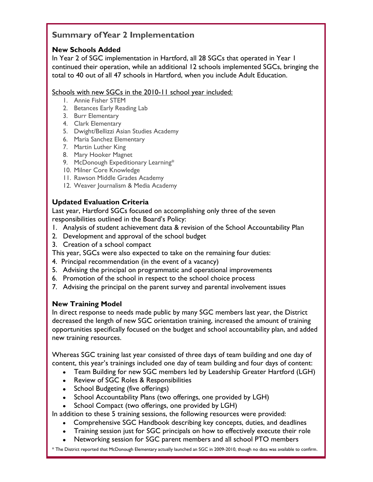## **Summary of Year 2 Implementation**

## **New Schools Added**

In Year 2 of SGC implementation in Hartford, all 28 SGCs that operated in Year 1 continued their operation, while an additional 12 schools implemented SGCs, bringing the total to 40 out of all 47 schools in Hartford, when you include Adult Education.

#### Schools with new SGCs in the 2010-11 school year included:

- 1. Annie Fisher STEM
- 2. Betances Early Reading Lab
- 3. Burr Elementary
- 4. Clark Elementary
- 5. Dwight/Bellizzi Asian Studies Academy
- 6. Maria Sanchez Elementary
- 7. Martin Luther King
- 8. Mary Hooker Magnet
- 9. McDonough Expeditionary Learning\*
- 10. Milner Core Knowledge
- 11. Rawson Middle Grades Academy
- 12. Weaver Journalism & Media Academy

## **Updated Evaluation Criteria**

Last year, Hartford SGCs focused on accomplishing only three of the seven responsibilities outlined in the Board's Policy:

- 1. Analysis of student achievement data & revision of the School Accountability Plan
- 2. Development and approval of the school budget
- 3. Creation of a school compact

This year, SGCs were also expected to take on the remaining four duties:

- 4. Principal recommendation (in the event of a vacancy)
- 5. Advising the principal on programmatic and operational improvements
- 6. Promotion of the school in respect to the school choice process
- 7. Advising the principal on the parent survey and parental involvement issues

#### **New Training Model**

In direct response to needs made public by many SGC members last year, the District decreased the length of new SGC orientation training, increased the amount of training opportunities specifically focused on the budget and school accountability plan, and added new training resources.

Whereas SGC training last year consisted of three days of team building and one day of content, this year's trainings included one day of team building and four days of content:

- Team Building for new SGC members led by Leadership Greater Hartford (LGH)  $\bullet$
- Review of SGC Roles & Responsibilities
- School Budgeting (five offerings)
- School Accountability Plans (two offerings, one provided by LGH)
- School Compact (two offerings, one provided by LGH)

In addition to these 5 training sessions, the following resources were provided:

- Comprehensive SGC Handbook describing key concepts, duties, and deadlines
- Training session just for SGC principals on how to effectively execute their role
- 4 Networking session for SGC parent members and all school PTO members

\* The District reported that McDonough Elementary actually launched an SGC in 2009-2010, though no data was available to confirm.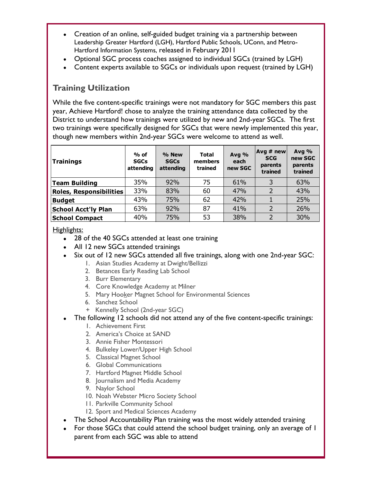- Creation of an online, self-guided budget training via a partnership between Leadership Greater Hartford (LGH), Hartford Public Schools, UConn, and Metro-Hartford Information Systems, released in February 2011
- Optional SGC process coaches assigned to individual SGCs (trained by LGH)
- Content experts available to SGCs or individuals upon request (trained by LGH)

## **Training Utilization**

While the five content-specific trainings were not mandatory for SGC members this past year, Achieve Hartford! chose to analyze the training attendance data collected by the District to understand how trainings were utilized by new and 2nd-year SGCs. The first two trainings were specifically designed for SGCs that were newly implemented this year, though new members within 2nd-year SGCs were welcome to attend as well.

| Trainings                      | $%$ of<br><b>SGCs</b><br>attending | % New<br><b>SGCs</b><br>attending | <b>Total</b><br>members<br>trained | Avg %<br>each<br>new SGC | $Avg \# new$<br><b>SCG</b><br>parents<br>trained | Avg $%$<br>new SGC<br>parents<br>trained |
|--------------------------------|------------------------------------|-----------------------------------|------------------------------------|--------------------------|--------------------------------------------------|------------------------------------------|
| Team Building                  | 35%                                | 92%                               | 75                                 | 61%                      | 3                                                | 63%                                      |
| <b>Roles, Responsibilities</b> | 33%                                | 83%                               | 60                                 | 47%                      | $\mathcal{P}$                                    | 43%                                      |
| <b>Budget</b>                  | 43%                                | 75%                               | 62                                 | 42%                      |                                                  | 25%                                      |
| <b>School Acct'ly Plan</b>     | 63%                                | 92%                               | 87                                 | 41%                      | $\mathcal{P}$                                    | 26%                                      |
| <b>School Compact</b>          | 40%                                | 75%                               | 53                                 | 38%                      | $\overline{\phantom{0}}$                         | 30%                                      |

Highlights:

- 28 of the 40 SGCs attended at least one training
- All 12 new SGCs attended trainings
- Six out of 12 new SGCs attended all five trainings, along with one 2nd-year SGC:
	- 1. Asian Studies Academy at Dwight/Bellizzi
	- 2. Betances Early Reading Lab School
	- 3. Burr Elementary
	- 4. Core Knowledge Academy at Milner
	- 5. Mary Hooker Magnet School for Environmental Sciences
	- 6. Sanchez School
	- + Kennelly School (2nd-year SGC)
- The following 12 schools did not attend any of the five content-specific trainings:
	- 1. Achievement First
	- 2. America's Choice at SAND
	- 3. Annie Fisher Montessori
	- 4. Bulkeley Lower/Upper High School
	- 5. Classical Magnet School
	- 6. Global Communications
	- 7. Hartford Magnet Middle School
	- 8. Journalism and Media Academy
	- 9. Naylor School
	- 10. Noah Webster Micro Society School
	- 11. Parkville Community School
	- 12. Sport and Medical Sciences Academy
- The School Accountability Plan training was the most widely attended training
- For those SGCs that could attend the school budget training, only an average of 1 parent from each SGC was able to attend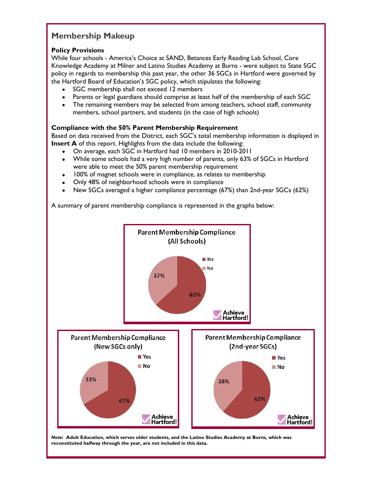## **Membership Makeup**

#### **Policy Provisions**

While four schools - America's Choice at SAND, Betances Early Reading Lab School, Core Knowledge Academy at Milner and Latino Studies Academy at Burns - were subject to State SGC policy in regards to membership this past year, the other 36 SGCs in Hartford were governed by the Hartford Board of Education's SGC policy, which stipulates the following:

- SGC membership shall not exceed 12 members
- Parents or legal guardians should comprise at least half of the membership of each SGC  $\bullet$
- The remaining members may be selected from among teachers, school staff, community  $\bullet$ members, school partners, and students (in the case of high schools)

#### **Compliance with the 50% Parent Membership Requirement**

Based on data received from the District, each SGC's total membership information is displayed in **Insert A** of this report. Highlights from the data include the following:

- On average, each SGC in Hartford had 10 members in 2010-2011  $\bullet$
- While some schools had a very high number of parents, only 63% of SGCs in Hartford  $\bullet$ were able to meet the 50% parent membership requirement
- 100% of magnet schools were in compliance, as relates to membership
- Only 48% of neighborhood schools were in compliance  $\bullet$
- New SGCs averaged a higher compliance percentage (67%) than 2nd-year SGCs (62%)

A summary of parent membership compliance is represented in the graphs below:

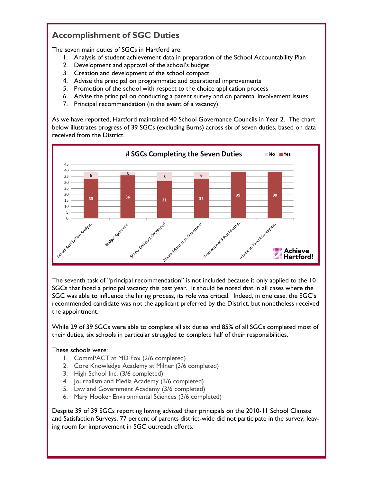## **Accomplishment of SGC Duties**

The seven main duties of SGCs in Hartford are:

- 1. Analysis of student achievement data in preparation of the School Accountability Plan
- 2. Development and approval of the school's budget
- 3. Creation and development of the school compact
- 4. Advise the principal on programmatic and operational improvements
- 5. Promotion of the school with respect to the choice application process
- 6. Advise the principal on conducting a parent survey and on parental involvement issues
- 7. Principal recommendation (in the event of a vacancy)

As we have reported, Hartford maintained 40 School Governance Councils in Year 2. The chart below illustrates progress of 39 SGCs (excluding Burns) across six of seven duties, based on data received from the District.



The seventh task of "principal recommendation" is not included because it only applied to the 10 SGCs that faced a principal vacancy this past year. It should be noted that in all cases where the SGC was able to influence the hiring process, its role was critical. Indeed, in one case, the SGC's recommended candidate was not the applicant preferred by the District, but nonetheless received the appointment.

While 29 of 39 SGCs were able to complete all six duties and 85% of all SGCs completed most of their duties, six schools in particular struggled to complete half of their responsibilities.

#### These schools were:

- 1. CommPACT at MD Fox (2/6 completed)
- 2. Core Knowledge Academy at Milner (3/6 completed)
- 3. High School Inc. (3/6 completed)
- 4. Journalism and Media Academy (3/6 completed)
- 5. Law and Government Academy (3/6 completed)
- 6. Mary Hooker Environmental Sciences (3/6 completed)

Despite 39 of 39 SGCs reporting having advised their principals on the 2010-11 School Climate and Satisfaction Surveys, 77 percent of parents district-wide did not participate in the survey, leaving room for improvement in SGC outreach efforts.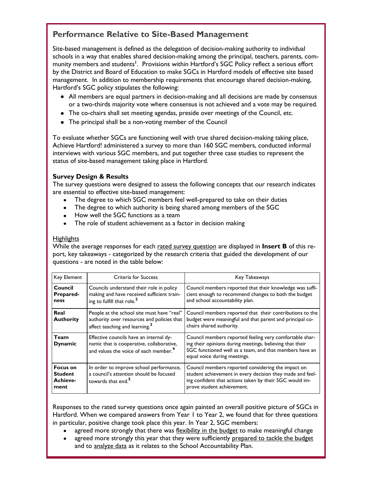## **Performance Relative to Site-Based Management**

Site-based management is defined as the delegation of decision-making authority to individual schools in a way that enables shared decision-making among the principal, teachers, parents, community members and students**<sup>1</sup>** . Provisions within Hartford's SGC Policy reflect a serious effort by the District and Board of Education to make SGCs in Hartford models of effective site based management. In addition to membership requirements that encourage shared decision-making, Hartford's SGC policy stipulates the following:

- All members are equal partners in decision-making and all decisions are made by consensus or a two-thirds majority vote where consensus is not achieved and a vote may be required.
- The co-chairs shall set meeting agendas, preside over meetings of the Council, etc.
- The principal shall be a non-voting member of the Council

To evaluate whether SGCs are functioning well with true shared decision-making taking place, Achieve Hartford! administered a survey to more than 160 SGC members, conducted informal interviews with various SGC members, and put together three case studies to represent the status of site-based management taking place in Hartford.

#### **Survey Design & Results**

The survey questions were designed to assess the following concepts that our research indicates are essential to effective site-based management:

- The degree to which SGC members feel well-prepared to take on their duties
- The degree to which authority is being shared among members of the SGC
- How well the SGC functions as a team
- The role of student achievement as a factor in decision making

#### **Highlights**

While the average responses for each rated survey question are displayed in **Insert B** of this report, key takeaways - categorized by the research criteria that guided the development of our questions - are noted in the table below:

| Key Element                                           | Criteria for Success                                                                                                                      | Key Takeaways                                                                                                                                                                                                  |
|-------------------------------------------------------|-------------------------------------------------------------------------------------------------------------------------------------------|----------------------------------------------------------------------------------------------------------------------------------------------------------------------------------------------------------------|
| Council<br><b>Prepared-</b><br>ness                   | Councils understand their role in policy<br>making and have received sufficient train-<br>ing to fulfill that role. <sup>2</sup>          | Council members reported that their knowledge was suffi-<br>cient enough to recommend changes to both the budget<br>and school accountability plan.                                                            |
| Real<br><b>Authority</b>                              | People at the school site must have "real"<br>authority over resources and policies that<br>affect teaching and learning. <sup>3</sup>    | Council members reported that their contributions to the<br>budget were meaningful and that parent and principal co-<br>chairs shared authority.                                                               |
| <b>Team</b><br><b>Dynamic</b>                         | Effective councils have an internal dy-<br>namic that is cooperative, collaborative,<br>and values the voice of each member. <sup>4</sup> | Council members reported feeling very comfortable shar-<br>ing their opinions during meetings, believing that their<br>SGC functioned well as a team, and that members have an<br>equal voice during meetings. |
| <b>Focus on</b><br><b>Student</b><br>Achieve-<br>ment | In order to improve school performance,<br>a council's attention should be focused<br>towards that end. <sup>5</sup>                      | Council members reported considering the impact on<br>student achievement in every decision they made and feel-<br>ing confident that actions taken by their SGC would im-<br>prove student achievement.       |

Responses to the rated survey questions once again painted an overall positive picture of SGCs in Hartford. When we compared answers from Year 1 to Year 2, we found that for three questions in particular, positive change took place this year. In Year 2, SGC members:

- agreed more strongly that there was flexibility in the budget to make meaningful change
- agreed there can engry this year that they were culturally propen.<br>and to analyze data as it relates to the School Accountability Plan. agreed more strongly this year that they were sufficiently prepared to tackle the budget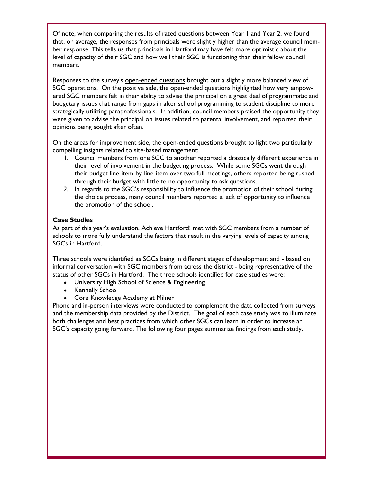Of note, when comparing the results of rated questions between Year 1 and Year 2, we found that, on average, the responses from principals were slightly higher than the average council member response. This tells us that principals in Hartford may have felt more optimistic about the level of capacity of their SGC and how well their SGC is functioning than their fellow council members.

Responses to the survey's open-ended questions brought out a slightly more balanced view of SGC operations. On the positive side, the open-ended questions highlighted how very empowered SGC members felt in their ability to advise the principal on a great deal of programmatic and budgetary issues that range from gaps in after school programming to student discipline to more strategically utilizing paraprofessionals. In addition, council members praised the opportunity they were given to advise the principal on issues related to parental involvement, and reported their opinions being sought after often.

On the areas for improvement side, the open-ended questions brought to light two particularly compelling insights related to site-based management:

- 1. Council members from one SGC to another reported a drastically different experience in their level of involvement in the budgeting process. While some SGCs went through their budget line-item-by-line-item over two full meetings, others reported being rushed through their budget with little to no opportunity to ask questions.
- 2. In regards to the SGC's responsibility to influence the promotion of their school during the choice process, many council members reported a lack of opportunity to influence the promotion of the school.

#### **Case Studies**

As part of this year's evaluation, Achieve Hartford! met with SGC members from a number of schools to more fully understand the factors that result in the varying levels of capacity among SGCs in Hartford.

Three schools were identified as SGCs being in different stages of development and - based on informal conversation with SGC members from across the district - being representative of the status of other SGCs in Hartford. The three schools identified for case studies were:

- University High School of Science & Engineering
- $\bullet$ Kennelly School
- Core Knowledge Academy at Milner

Phone and in-person interviews were conducted to complement the data collected from surveys and the membership data provided by the District. The goal of each case study was to illuminate both challenges and best practices from which other SGCs can learn in order to increase an SGC's capacity going forward. The following four pages summarize findings from each study.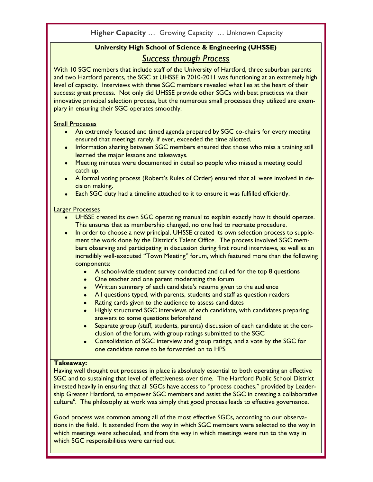## **University High School of Science & Engineering (UHSSE)** *Success through Process*

With 10 SGC members that include staff of the University of Hartford, three suburban parents and two Hartford parents, the SGC at UHSSE in 2010-2011 was functioning at an extremely high level of capacity. Interviews with three SGC members revealed what lies at the heart of their success: great process. Not only did UHSSE provide other SGCs with best practices via their innovative principal selection process, but the numerous small processes they utilized are exemplary in ensuring their SGC operates smoothly.

#### Small Processes

- An extremely focused and timed agenda prepared by SGC co-chairs for every meeting ensured that meetings rarely, if ever, exceeded the time allotted.
- Information sharing between SGC members ensured that those who miss a training still learned the major lessons and takeaways.
- Meeting minutes were documented in detail so people who missed a meeting could catch up.
- A formal voting process (Robert's Rules of Order) ensured that all were involved in decision making.
- Each SGC duty had a timeline attached to it to ensure it was fulfilled efficiently.

#### Larger Processes

- UHSSE created its own SGC operating manual to explain exactly how it should operate. This ensures that as membership changed, no one had to recreate procedure.
- In order to choose a new principal, UHSSE created its own selection process to supplement the work done by the District's Talent Office. The process involved SGC members observing and participating in discussion during first round interviews, as well as an incredibly well-executed "Town Meeting" forum, which featured more than the following components:
	- A school-wide student survey conducted and culled for the top 8 questions
	- One teacher and one parent moderating the forum
	- Written summary of each candidate's resume given to the audience
	- All questions typed, with parents, students and staff as question readers
	- Rating cards given to the audience to assess candidates
	- Highly structured SGC interviews of each candidate, with candidates preparing answers to some questions beforehand
	- Separate group (staff, students, parents) discussion of each candidate at the conclusion of the forum, with group ratings submitted to the SGC
	- Consolidation of SGC interview and group ratings, and a vote by the SGC for one candidate name to be forwarded on to HPS

#### **Takeaway:**

Having well thought out processes in place is absolutely essential to both operating an effective SGC and to sustaining that level of effectiveness over time. The Hartford Public School District invested heavily in ensuring that all SGCs have access to "process coaches," provided by Leadership Greater Hartford, to empower SGC members and assist the SGC in creating a collaborative culture**<sup>6</sup>** . The philosophy at work was simply that good process leads to effective governance.

Good process was common among all of the most effective SGCs, according to our observations in the field. It extended from the way in which SGC members were selected to the way in which meetings were scheduled, and from the way in which meetings were run to the way in which SGC responsibilities were carried out.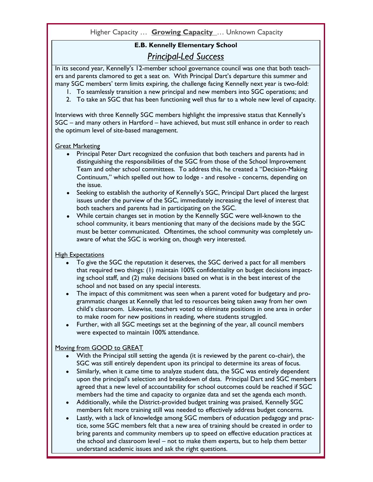#### Higher Capacity … **Growing Capacity** … Unknown Capacity

## **E.B. Kennelly Elementary School** *Principal-Led Success*

In its second year, Kennelly's 12-member school governance council was one that both teachers and parents clamored to get a seat on. With Principal Dart's departure this summer and many SGC members' term limits expiring, the challenge facing Kennelly next year is two-fold:

- 1. To seamlessly transition a new principal and new members into SGC operations; and
- 2. To take an SGC that has been functioning well thus far to a whole new level of capacity.

Interviews with three Kennelly SGC members highlight the impressive status that Kennelly's SGC – and many others in Hartford – have achieved, but must still enhance in order to reach the optimum level of site-based management.

#### Great Marketing

- Principal Peter Dart recognized the confusion that both teachers and parents had in distinguishing the responsibilities of the SGC from those of the School Improvement Team and other school committees. To address this, he created a "Decision-Making Continuum," which spelled out how to lodge - and resolve - concerns, depending on the issue.
- Seeking to establish the authority of Kennelly's SGC, Principal Dart placed the largest issues under the purview of the SGC, immediately increasing the level of interest that both teachers and parents had in participating on the SGC.
- While certain changes set in motion by the Kennelly SGC were well-known to the school community, it bears mentioning that many of the decisions made by the SGC must be better communicated. Oftentimes, the school community was completely unaware of what the SGC is working on, though very interested.

#### High Expectations

- To give the SGC the reputation it deserves, the SGC derived a pact for all members that required two things: (1) maintain 100% confidentiality on budget decisions impacting school staff, and (2) make decisions based on what is in the best interest of the school and not based on any special interests.
- The impact of this commitment was seen when a parent voted for budgetary and programmatic changes at Kennelly that led to resources being taken away from her own child's classroom. Likewise, teachers voted to eliminate positions in one area in order to make room for new positions in reading, where students struggled.
- Further, with all SGC meetings set at the beginning of the year, all council members were expected to maintain 100% attendance.

#### Moving from GOOD to GREAT

- With the Principal still setting the agenda (it is reviewed by the parent co-chair), the SGC was still entirely dependent upon its principal to determine its areas of focus.
- Similarly, when it came time to analyze student data, the SGC was entirely dependent upon the principal's selection and breakdown of data. Principal Dart and SGC members agreed that a new level of accountability for school outcomes could be reached if SGC members had the time and capacity to organize data and set the agenda each month.
- Additionally, while the District-provided budget training was praised, Kennelly SGC members felt more training still was needed to effectively address budget concerns.
- the school and classroom level not to make them experts, but to help them better Lastly, with a lack of knowledge among SGC members of education pedagogy and practice, some SGC members felt that a new area of training should be created in order to bring parents and community members up to speed on effective education practices at understand academic issues and ask the right questions.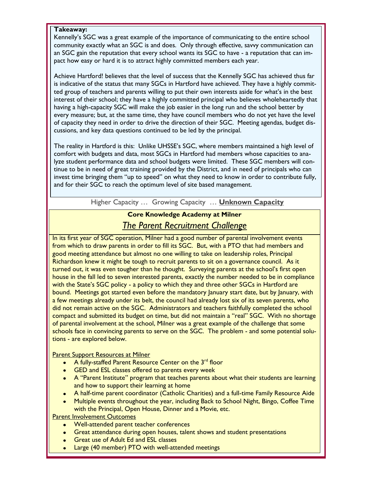#### **Takeaway:**

Kennelly's SGC was a great example of the importance of communicating to the entire school community exactly what an SGC is and does. Only through effective, savvy communication can an SGC gain the reputation that every school wants its SGC to have - a reputation that can impact how easy or hard it is to attract highly committed members each year.

Achieve Hartford! believes that the level of success that the Kennelly SGC has achieved thus far is indicative of the status that many SGCs in Hartford have achieved. They have a highly committed group of teachers and parents willing to put their own interests aside for what's in the best interest of their school; they have a highly committed principal who believes wholeheartedly that having a high-capacity SGC will make the job easier in the long run and the school better by every measure; but, at the same time, they have council members who do not yet have the level of capacity they need in order to drive the direction of their SGC. Meeting agendas, budget discussions, and key data questions continued to be led by the principal.

The reality in Hartford is this: Unlike UHSSE's SGC, where members maintained a high level of comfort with budgets and data, most SGCs in Hartford had members whose capacities to analyze student performance data and school budgets were limited. These SGC members will continue to be in need of great training provided by the District, and in need of principals who can invest time bringing them "up to speed" on what they need to know in order to contribute fully, and for their SGC to reach the optimum level of site based management.

Higher Capacity …Growing Capacity… **Unknown Capacity**

## **Core Knowledge Academy at Milner** *The Parent Recruitment Challenge*

In its first year of SGC operation, Milner had a good number of parental involvement events from which to draw parents in order to fill its SGC. But, with a PTO that had members and good meeting attendance but almost no one willing to take on leadership roles, Principal Richardson knew it might be tough to recruit parents to sit on a governance council. As it turned out, it was even tougher than he thought. Surveying parents at the school's first open house in the fall led to seven interested parents, exactly the number needed to be in compliance with the State's SGC policy - a policy to which they and three other SGCs in Hartford are bound. Meetings got started even before the mandatory January start date, but by January, with a few meetings already under its belt, the council had already lost six of its seven parents, who did not remain active on the SGC. Administrators and teachers faithfully completed the school compact and submitted its budget on time, but did not maintain a "real" SGC. With no shortage of parental involvement at the school, Milner was a great example of the challenge that some schools face in convincing parents to serve on the SGC. The problem - and some potential solutions - are explored below.

**Parent Support Resources at Milner** 

- A fully-staffed Parent Resource Center on the 3<sup>rd</sup> floor
- **GED and ESL classes offered to parents every week**
- A "Parent Institute" program that teaches parents about what their students are learning and how to support their learning at home
- A half-time parent coordinator (Catholic Charities) and a full-time Family Resource Aide
- Multiple events throughout the year, including Back to School Night, Bingo, Coffee Time with the Principal, Open House, Dinner and a Movie, etc.

**Parent Involvement Outcomes** 

- Well-attended parent teacher conferences
- Great attendance during open houses, talent shows and student presentations
- Great use of Adult Ed and ESL classes
- 12 Large (40 member) PTO with well-attended meetings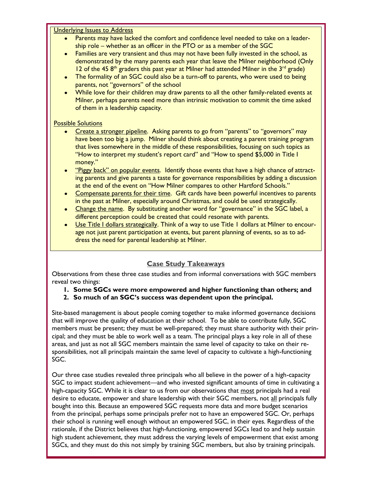**Underlying Issues to Address** 

- Parents may have lacked the comfort and confidence level needed to take on a leadership role – whether as an officer in the PTO or as a member of the SGC
- Families are very transient and thus may not have been fully invested in the school, as demonstrated by the many parents each year that leave the Milner neighborhood (Only 12 of the 45  $8<sup>th</sup>$  graders this past year at Milner had attended Milner in the  $3<sup>rd</sup>$  grade)
- The formality of an SGC could also be a turn-off to parents, who were used to being  $\bullet$ parents, not "governors" of the school
- While love for their children may draw parents to all the other family-related events at Milner, perhaps parents need more than intrinsic motivation to commit the time asked of them in a leadership capacity.

#### Possible Solutions

- Create a stronger pipeline. Asking parents to go from "parents" to "governors" may have been too big a jump. Milner should think about creating a parent training program that lives somewhere in the middle of these responsibilities, focusing on such topics as "How to interpret my student's report card" and "How to spend \$5,000 in Title I money."
- "Piggy back" on popular events. Identify those events that have a high chance of attract- $\bullet$ ing parents and give parents a taste for governance responsibilities by adding a discussion at the end of the event on "How Milner compares to other Hartford Schools."
- Compensate parents for their time. Gift cards have been powerful incentives to parents in the past at Milner, especially around Christmas, and could be used strategically.
- Change the name. By substituting another word for "governance" in the SGC label, a  $\bullet$ different perception could be created that could resonate with parents.
- Use Title I dollars strategically. Think of a way to use Title I dollars at Milner to encourage not just parent participation at events, but parent planning of events, so as to address the need for parental leadership at Milner.

#### **Case Study Takeaways**

Observations from these three case studies and from informal conversations with SGC members reveal two things:

- **1. Some SGCs were more empowered and higher functioning than others; and**
- **2. So much of an SGC's success was dependent upon the principal.**

Site-based management is about people coming together to make informed governance decisions that will improve the quality of education at their school. To be able to contribute fully, SGC members must be present; they must be well-prepared; they must share authority with their principal; and they must be able to work well as a team. The principal plays a key role in all of these areas, and just as not all SGC members maintain the same level of capacity to take on their responsibilities, not all principals maintain the same level of capacity to cultivate a high-functioning SGC.

 $S\tilde{G}C$ s, and they must do this not simply by training  $S\tilde{G}C$  members, but also by training principals. Our three case studies revealed three principals who all believe in the power of a high-capacity SGC to impact student achievement—and who invested significant amounts of time in cultivating a high-capacity SGC. While it is clear to us from our observations that most principals had a real desire to educate, empower and share leadership with their SGC members, not all principals fully bought into this. Because an empowered SGC requests more data and more budget scenarios from the principal, perhaps some principals prefer not to have an empowered SGC. Or, perhaps their school is running well enough without an empowered SGC, in their eyes. Regardless of the rationale, if the District believes that high-functioning, empowered SGCs lead to and help sustain high student achievement, they must address the varying levels of empowerment that exist among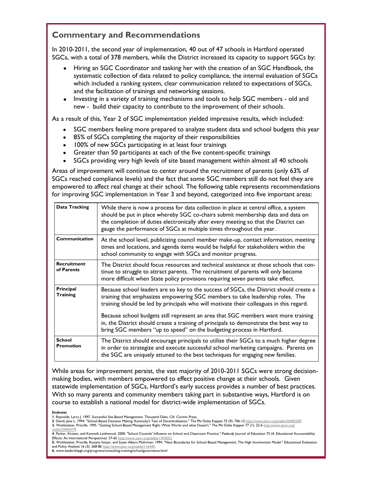## **Commentary and Recommendations**

In 2010-2011, the second year of implementation, 40 out of 47 schools in Hartford operated SGCs, with a total of 378 members, while the District increased its capacity to support SGCs by:

- Hiring an SGC Coordinator and tasking her with the creation of an SGC Handbook, the systematic collection of data related to policy compliance, the internal evaluation of SGCs which included a ranking system, clear communication related to expectations of SGCs, and the facilitation of trainings and networking sessions.
- Investing in a variety of training mechanisms and tools to help SGC members old and new - build their capacity to contribute to the improvement of their schools.

As a result of this, Year 2 of SGC implementation yielded impressive results, which included:

- SGC members feeling more prepared to analyze student data and school budgets this year
- 85% of SGCs completing the majority of their responsibilities
- 100% of new SGCs participating in at least four trainings
- Greater than 50 participants at each of the five content-specific trainings
- SGCs providing very high levels of site based management within almost all 40 schools

Areas of improvement will continue to center around the recruitment of parents (only 63% of SGCs reached compliance levels) and the fact that some SGC members still do not feel they are empowered to affect real change at their school. The following table represents recommendations for improving SGC implementation in Year 3 and beyond, categorized into five important areas:

| Data Tracking                     | While there is now a process for data collection in place at central office, a system<br>should be put in place whereby SGC co-chairs submit membership data and data on<br>the completion of duties electronically after every meeting so that the District can<br>gauge the performance of SGCs at multiple times throughout the year.                                                                                                                                                                                    |
|-----------------------------------|-----------------------------------------------------------------------------------------------------------------------------------------------------------------------------------------------------------------------------------------------------------------------------------------------------------------------------------------------------------------------------------------------------------------------------------------------------------------------------------------------------------------------------|
| Communication                     | At the school level, publicizing council member make-up, contact information, meeting<br>times and locations, and agenda items would be helpful for stakeholders within the<br>school community to engage with SGCs and monitor progress.                                                                                                                                                                                                                                                                                   |
| <b>Recruitment</b><br>of Parents  | The District should focus resources and technical assistance at those schools that con-<br>tinue to struggle to attract parents. The recruitment of parents will only become<br>more difficult when State policy provisions requiring seven parents take effect.                                                                                                                                                                                                                                                            |
| Principal<br><b>Training</b>      | Because school leaders are so key to the success of SGCs, the District should create a<br>training that emphasizes empowering SGC members to take leadership roles. The<br>training should be led by principals who will motivate their colleagues in this regard.<br>Because school budgets still represent an area that SGC members want more training<br>in, the District should create a training of principals to demonstrate the best way to<br>bring SGC members "up to speed" on the budgeting process in Hartford. |
| <b>School</b><br><b>Promotion</b> | The District should encourage principals to utilize their SGCs to a much higher degree<br>in order to strategize and execute successful school marketing campaigns. Parents on<br>the SGC are uniquely attuned to the best techniques for engaging new families.                                                                                                                                                                                                                                                            |

While areas for improvement persist, the vast majority of 2010-2011 SGCs were strong decisionmaking bodies, with members empowered to effect positive change at their schools. Given statewide implementation of SGCs, Hartford's early success provides a number of best practices. With so many parents and community members taking part in substantive ways, Hartford is on course to establish a national model for district-wide implementation of SGCs.

*Endnotes*

**<sup>1</sup>**. Reynolds, Larry J. 1997. Successful Site-Based Management. Thousand Oaks, CA: Corwin Press.

**<sup>2</sup>**. David, Jane L. 1994. "School-Based Decision Making: Kentucky's Test of Decentralization." The Phi Delta Kappan 75 (9): 706-12 [http://www.jstor.org/stable/20405209.](http://www.jstor.org/stable/20405209) **3.** Wohlstetter, Priscilla. 1995. "Getting School-Based Management Right: What Works and what Doesn't." The Phi Delta Kappan 77 (1): 22-6 [http://www.jstor.org/](http://www.jstor.org/stable/20405479) [stable/20405479.](http://www.jstor.org/stable/20405479)

**<sup>4</sup>**. Parker, Kirsten, and Kenneth Leithwood. 2000. "School Councils' Influence on School and Classroom Practice." Peabody Journal of Education 75 (4, Educational Accountability Effects: An International Perspective): 37-65 http://www.jstor.org/stable/1493052

<sup>14</sup> **5.** Wohlstetter, Priscilla, Roxane Smyer, and Susan Albers Mohrman. 1994. "New Boundaries for School-Based Management: The High Involvement Model." Educational Evaluation and Policy Analysis 16 (3): 268-86 [http://www.jstor.org/stable/116440.](http://www.jstor.org/stable/116440)

**<sup>6.</sup>** www.leadershipgh.org/programs/consulting-training/schoolgovernance.html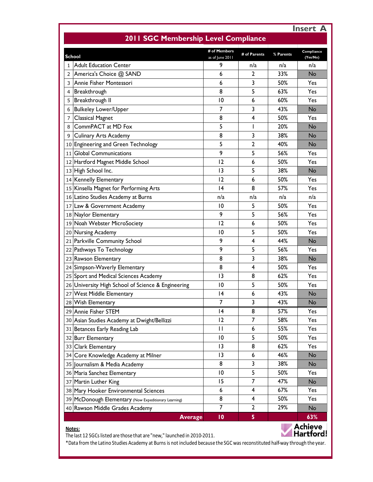| 2011 SGC Membership Level Compliance                 |                      |              |            | <b>Insert A</b> |
|------------------------------------------------------|----------------------|--------------|------------|-----------------|
| <b>School</b>                                        | # of Members         | # of Parents | % Parents  | Compliance      |
| <b>Adult Education Center</b><br>$\mathbf{1}$        | as of June 2011<br>9 | n/a          | n/a        | (Yes/No)<br>n/a |
| America's Choice @ SAND<br>2                         | 6                    | $\mathbf{2}$ | 33%        | No              |
| lAnnie Fisher Montessori<br>3                        | 6                    | 3            | 50%        | Yes             |
| Breakthrough<br>4                                    | 8                    | 5            | 63%        | Yes             |
| Breakthrough II<br>5                                 | 10                   | 6            | 60%        | Yes             |
| <b>Bulkeley Lower/Upper</b><br>6                     | 7                    | 3            | 43%        | No              |
| <b>Classical Magnet</b><br>7                         | 8                    | 4            | 50%        | Yes             |
| CommPACT at MD Fox<br>8                              | 5                    | I            | 20%        | No              |
| <b>Culinary Arts Academy</b><br>9                    | 8                    | 3            | 38%        | No              |
| 10 Engineering and Green Technology                  | 5                    | 2            | 40%        | No              |
| <b>Global Communications</b><br>11                   | 9                    | 5            | 56%        | Yes             |
| 12 Hartford Magnet Middle School                     | 12                   | 6            | 50%        | Yes             |
| 13 High School Inc.                                  | 13                   | 5            | 38%        | No              |
| 14 Kennelly Elementary                               | 12                   | 6            | 50%        | Yes             |
| 15 Kinsella Magnet for Performing Arts               | 4                    | 8            | 57%        | Yes             |
| 16 Latino Studies Academy at Burns                   | n/a                  | n/a          | n/a        | n/a             |
| 17 Law & Government Academy                          | 10                   | 5            | 50%        | Yes             |
| 18 Naylor Elementary                                 | 9                    | 5            | 56%        | Yes             |
| 19 Noah Webster MicroSociety                         | 12                   | 6            | 50%        | Yes             |
| 20 Nursing Academy                                   | 10                   | 5            | 50%        | Yes             |
| 21 Parkville Community School                        | 9                    | 4            | 44%        | No              |
| 22 Pathways To Technology                            | 9                    | 5            | 56%        | Yes             |
| 23 Rawson Elementary                                 | 8                    | 3            | 38%        | No              |
|                                                      | 8                    | 4            | 50%        | Yes             |
| 24 Simpson-Waverly Elementary                        | 3                    | 8            | 62%        | Yes             |
| 25 Sport and Medical Sciences Academy                |                      |              | 50%        | Yes             |
| 26 University High School of Science & Engineering   | 10<br> 4             | 5<br>6       | 43%        | No              |
| 27 West Middle Elementary                            |                      |              |            |                 |
| 28 Wish Elementary                                   | 7<br> 4              | 3<br>8       | 43%<br>57% | No              |
| 29 Annie Fisher STEM                                 |                      |              |            | Yes             |
| 30 Asian Studies Academy at Dwight/Bellizzi          | 12                   | 7            | 58%        | Yes             |
| 31 Betances Early Reading Lab                        | $\mathbf{H}$         | 6            | 55%        | Yes             |
| 32 Burr Elementary                                   | $\overline{10}$      | 5            | 50%        | Yes             |
| 33 Clark Elementary                                  | $\overline{13}$      | 8            | 62%        | Yes             |
| 34 Core Knowledge Academy at Milner                  | 13                   | 6            | 46%        | No              |
| 35 Journalism & Media Academy                        | 8                    | 3            | 38%        | No              |
| 36 Maria Sanchez Elementary                          | 10                   | 5            | 50%        | Yes             |
| 37 Martin Luther King                                | 15                   | 7            | 47%        | <b>No</b>       |
| 38 Mary Hooker Environmental Sciences                | 6                    | 4            | 67%        | Yes             |
| 39 McDonough Elementary (Now Expeditionary Learning) | 8                    | 4            | 50%        | Yes             |
| 40 Rawson Middle Grades Academy                      | 7                    | 2            | 29%        | No              |
| <b>Average</b>                                       | 10                   | 5            |            | 63%             |

#### The last 12 SGCs listed are those that are "new," launched in 2010-2011.



15 \*Data from the Latino Studies Academy at Burns is not included because the SGC was reconstituted half-way through the year.